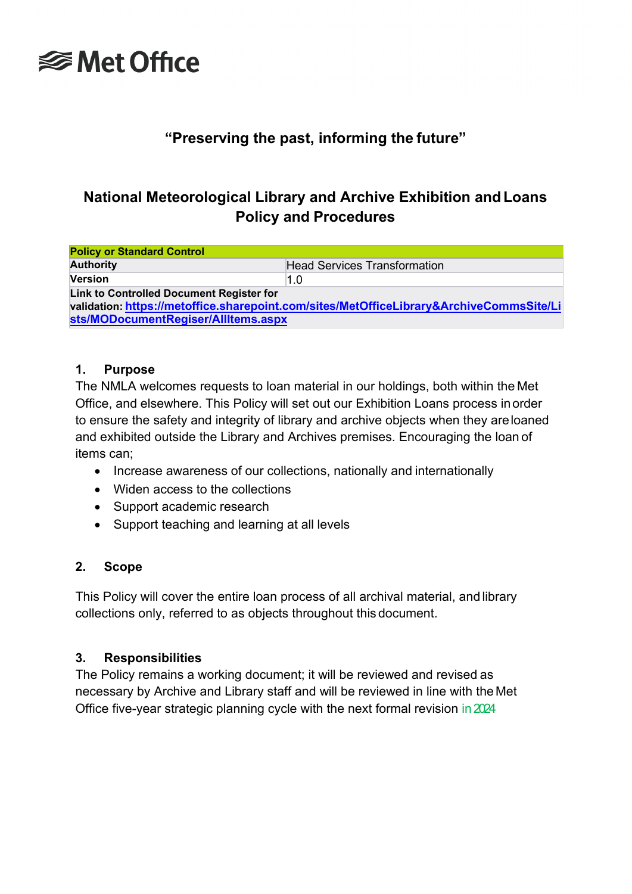

# **"Preserving the past, informing the future"**

# **National Meteorological Library and Archive Exhibition andLoans Policy and Procedures**

| <b>Policy or Standard Control</b>                                                                                                   |                                     |  |  |  |
|-------------------------------------------------------------------------------------------------------------------------------------|-------------------------------------|--|--|--|
| <b>Authority</b>                                                                                                                    | <b>Head Services Transformation</b> |  |  |  |
| <b>Version</b>                                                                                                                      | 1.0                                 |  |  |  |
| Link to Controlled Document Register for<br>validation: https://metoffice.sharepoint.com/sites/MetOfficeLibrary&ArchiveCommsSite/Li |                                     |  |  |  |
| sts/MODocumentRegiser/AllItems.aspx                                                                                                 |                                     |  |  |  |

#### **1. Purpose**

The NMLA welcomes requests to loan material in our holdings, both within the Met Office, and elsewhere. This Policy will set out our Exhibition Loans process inorder to ensure the safety and integrity of library and archive objects when they areloaned and exhibited outside the Library and Archives premises. Encouraging the loan of items can;

- Increase awareness of our collections, nationally and internationally
- Widen access to the collections
- Support academic research
- Support teaching and learning at all levels

#### **2. Scope**

This Policy will cover the entire loan process of all archival material, and library collections only, referred to as objects throughout this document.

#### **3. Responsibilities**

The Policy remains a working document; it will be reviewed and revised as necessary by Archive and Library staff and will be reviewed in line with the Met Office five-year strategic planning cycle with the next formal revision in2024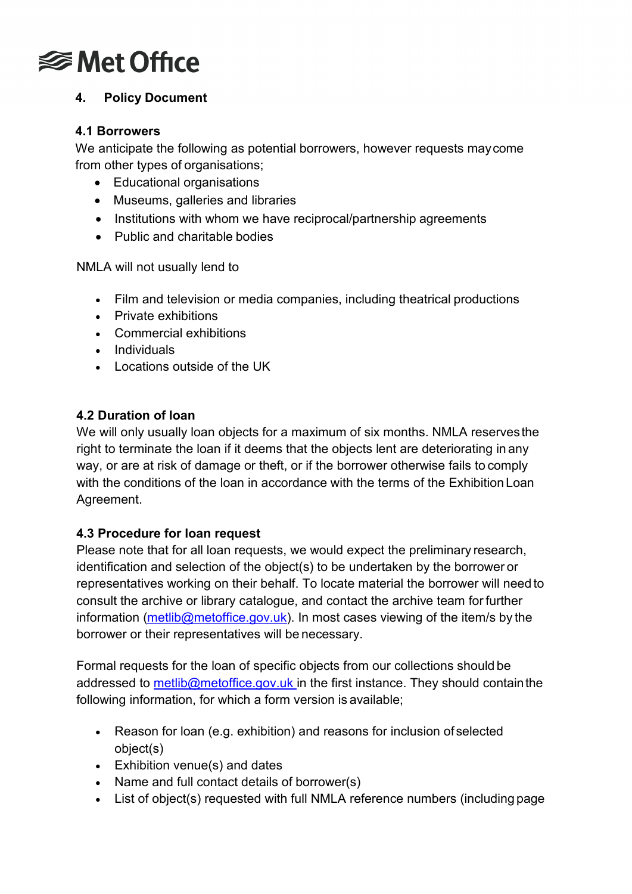

# **4. Policy Document**

#### **4.1 Borrowers**

We anticipate the following as potential borrowers, however requests maycome from other types of organisations;

- Educational organisations
- Museums, galleries and libraries
- Institutions with whom we have reciprocal/partnership agreements
- Public and charitable bodies

NMLA will not usually lend to

- Film and television or media companies, including theatrical productions
- Private exhibitions
- Commercial exhibitions
- Individuals
- Locations outside of the UK

# **4.2 Duration of loan**

We will only usually loan objects for a maximum of six months. NMLA reservesthe right to terminate the loan if it deems that the objects lent are deteriorating in any way, or are at risk of damage or theft, or if the borrower otherwise fails to comply with the conditions of the loan in accordance with the terms of the Exhibition Loan Agreement.

# **4.3 Procedure for loan request**

Please note that for all loan requests, we would expect the preliminary research, identification and selection of the object(s) to be undertaken by the borrower or representatives working on their behalf. To locate material the borrower will need to consult the archive or library catalogue, and contact the archive team for further information ( $\frac{\text{methib@metoffice.gov.uk}}{\text{methib@metoffice.gov.uk}}$ . In most cases viewing of the item/s by the borrower or their representatives will be necessary.

Formal requests for the loan of specific objects from our collections should be addressed to [metlib@metoffice.gov.uk i](mailto:metlib@metoffice.gov.uk)n the first instance. They should contain the following information, for which a form version is available;

- Reason for loan (e.g. exhibition) and reasons for inclusion of selected object(s)
- Exhibition venue(s) and dates
- Name and full contact details of borrower(s)
- List of object(s) requested with full NMLA reference numbers (including page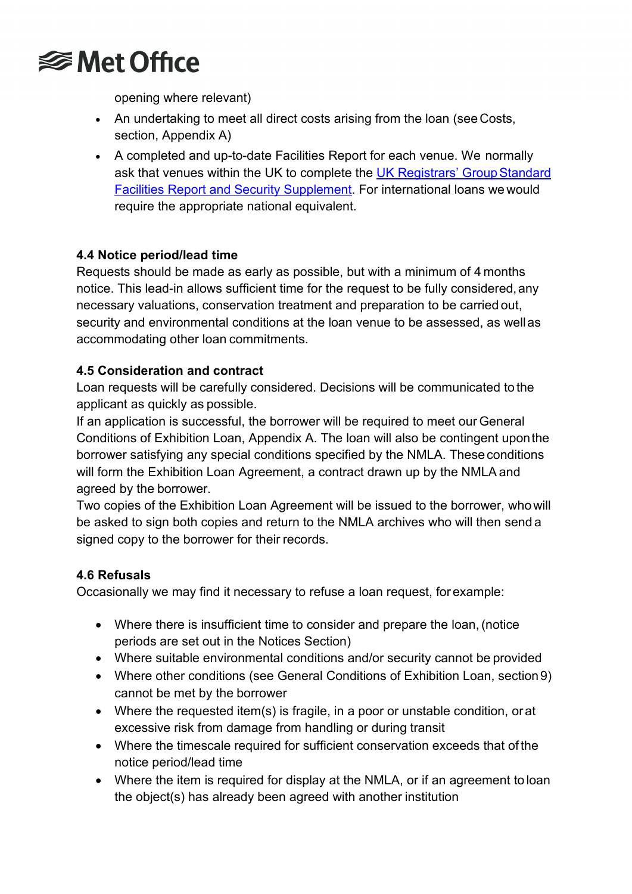

opening where relevant)

- An undertaking to meet all direct costs arising from the loan (see Costs, section, Appendix A)
- A completed and up-to-date Facilities Report for each venue. We normally ask that venues within the UK to complete the UK Registrars' Group Standard Facilities Report and [Security Supplement.](http://www.ukregistrarsgroup.org/resources/publications) For international loans we would require the appropriate national equivalent.

# **4.4 Notice period/lead time**

Requests should be made as early as possible, but with a minimum of 4 months notice. This lead-in allows sufficient time for the request to be fully considered,any necessary valuations, conservation treatment and preparation to be carried out, security and environmental conditions at the loan venue to be assessed, as wellas accommodating other loan commitments.

# **4.5 Consideration and contract**

Loan requests will be carefully considered. Decisions will be communicated to the applicant as quickly as possible.

If an application is successful, the borrower will be required to meet our General Conditions of Exhibition Loan, Appendix A. The loan will also be contingent uponthe borrower satisfying any special conditions specified by the NMLA. These conditions will form the Exhibition Loan Agreement, a contract drawn up by the NMLA and agreed by the borrower.

Two copies of the Exhibition Loan Agreement will be issued to the borrower, whowill be asked to sign both copies and return to the NMLA archives who will then send a signed copy to the borrower for their records.

# **4.6 Refusals**

Occasionally we may find it necessary to refuse a loan request, for example:

- Where there is insufficient time to consider and prepare the loan,(notice periods are set out in the Notices Section)
- Where suitable environmental conditions and/or security cannot be provided
- Where other conditions (see General Conditions of Exhibition Loan, section9) cannot be met by the borrower
- Where the requested item(s) is fragile, in a poor or unstable condition, orat excessive risk from damage from handling or during transit
- Where the timescale required for sufficient conservation exceeds that of the notice period/lead time
- Where the item is required for display at the NMLA, or if an agreement to loan the object(s) has already been agreed with another institution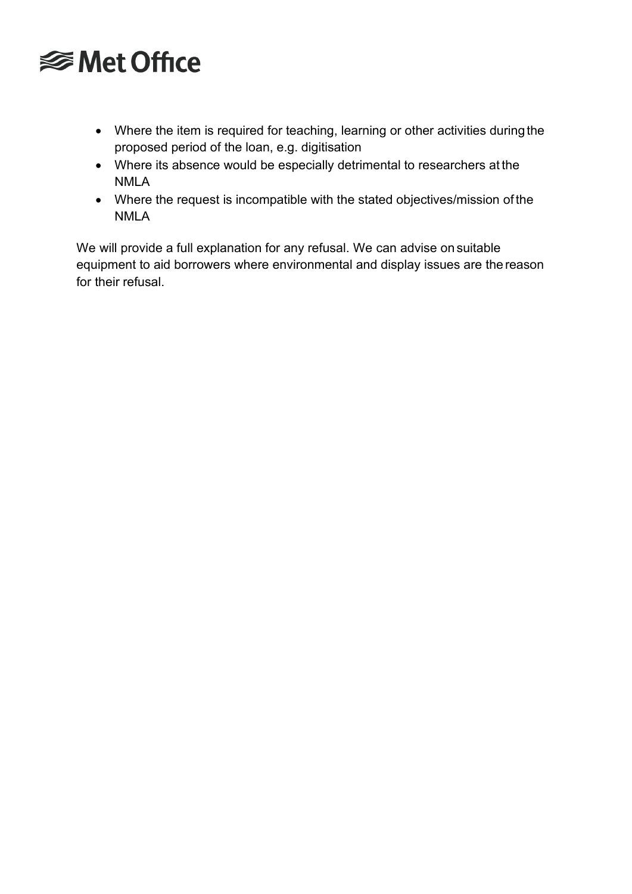# **<del></del>** Met Office

- Where the item is required for teaching, learning or other activities duringthe proposed period of the loan, e.g. digitisation
- Where its absence would be especially detrimental to researchers at the NMLA
- Where the request is incompatible with the stated objectives/mission of the NMLA

We will provide a full explanation for any refusal. We can advise on suitable equipment to aid borrowers where environmental and display issues are the reason for their refusal.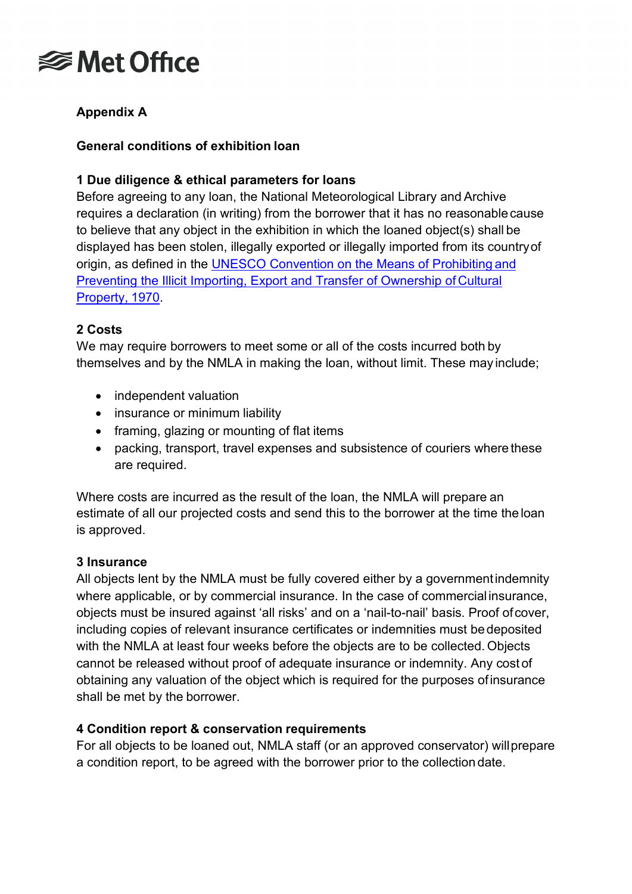

# **Appendix A**

#### **General conditions of exhibition loan**

### **1 Due diligence & ethical parameters for loans**

Before agreeing to any loan, the National Meteorological Library and Archive requires a declaration (in writing) from the borrower that it has no reasonablecause to believe that any object in the exhibition in which the loaned object(s) shall be displayed has been stolen, illegally exported or illegally imported from its countryof origin, as defined in the UNESCO [Convention on the Means of Prohibiting](http://www.unesco.org.uk/unesco_cultural_conventions) and [Preventing the Illicit Importing, Export and Transfer of Ownership of](http://www.unesco.org.uk/unesco_cultural_conventions) Cultural [Property,](http://www.unesco.org.uk/unesco_cultural_conventions) 1970.

#### **2 Costs**

We may require borrowers to meet some or all of the costs incurred both by themselves and by the NMLA in making the loan, without limit. These may include;

- independent valuation
- insurance or minimum liability
- framing, glazing or mounting of flat items
- packing, transport, travel expenses and subsistence of couriers where these are required.

Where costs are incurred as the result of the loan, the NMLA will prepare an estimate of all our projected costs and send this to the borrower at the time the loan is approved.

#### **3 Insurance**

All objects lent by the NMLA must be fully covered either by a governmentindemnity where applicable, or by commercial insurance. In the case of commercial insurance, objects must be insured against 'all risks' and on a 'nail-to-nail' basis. Proof ofcover, including copies of relevant insurance certificates or indemnities must bedeposited with the NMLA at least four weeks before the objects are to be collected. Objects cannot be released without proof of adequate insurance or indemnity. Any cost of obtaining any valuation of the object which is required for the purposes ofinsurance shall be met by the borrower.

#### **4 Condition report & conservation requirements**

For all objects to be loaned out, NMLA staff (or an approved conservator) willprepare a condition report, to be agreed with the borrower prior to the collection date.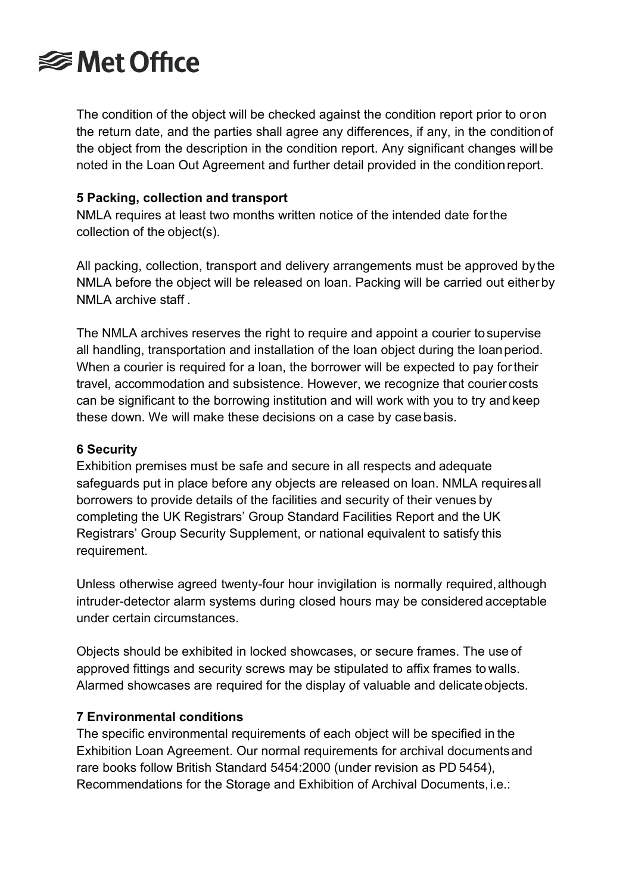# **<del></del>** Met Office

The condition of the object will be checked against the condition report prior to oron the return date, and the parties shall agree any differences, if any, in the conditionof the object from the description in the condition report. Any significant changes willbe noted in the Loan Out Agreement and further detail provided in the conditionreport.

# **5 Packing, collection and transport**

NMLA requires at least two months written notice of the intended date forthe collection of the object(s).

All packing, collection, transport and delivery arrangements must be approved by the NMLA before the object will be released on loan. Packing will be carried out either by NMLA archive staff .

The NMLA archives reserves the right to require and appoint a courier tosupervise all handling, transportation and installation of the loan object during the loanperiod. When a courier is required for a loan, the borrower will be expected to pay fortheir travel, accommodation and subsistence. However, we recognize that courier costs can be significant to the borrowing institution and will work with you to try and keep these down. We will make these decisions on a case by casebasis.

# **6 Security**

Exhibition premises must be safe and secure in all respects and adequate safeguards put in place before any objects are released on loan. NMLA requiresall borrowers to provide details of the facilities and security of their venues by completing the UK Registrars' Group Standard Facilities Report and the UK Registrars' Group Security Supplement, or national equivalent to satisfy this requirement.

Unless otherwise agreed twenty-four hour invigilation is normally required,although intruder-detector alarm systems during closed hours may be considered acceptable under certain circumstances.

Objects should be exhibited in locked showcases, or secure frames. The use of approved fittings and security screws may be stipulated to affix frames to walls. Alarmed showcases are required for the display of valuable and delicateobjects.

# **7 Environmental conditions**

The specific environmental requirements of each object will be specified in the Exhibition Loan Agreement. Our normal requirements for archival documentsand rare books follow British Standard 5454:2000 (under revision as PD 5454), Recommendations for the Storage and Exhibition of Archival Documents, i.e.: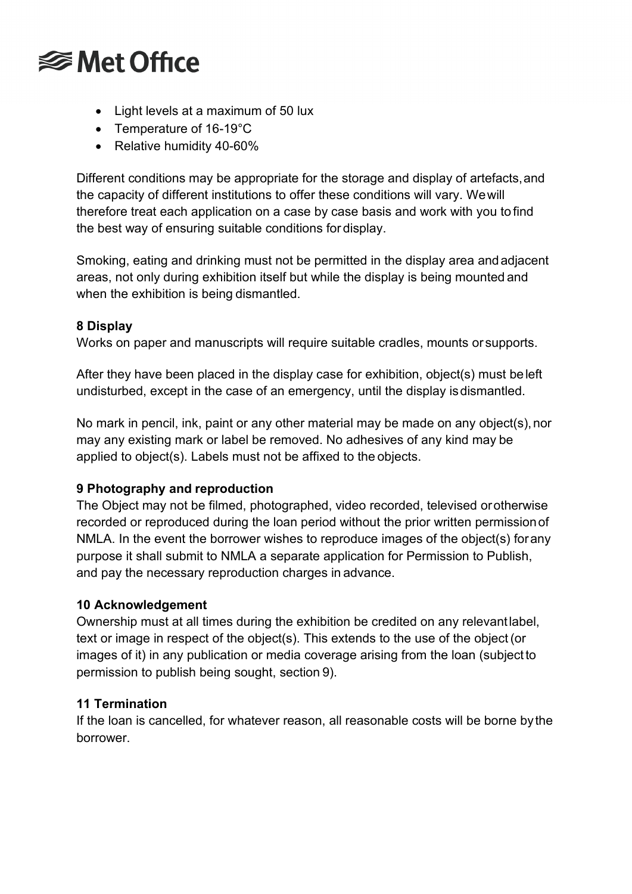

- Light levels at a maximum of 50 lux
- Temperature of 16-19°C
- Relative humidity 40-60%

Different conditions may be appropriate for the storage and display of artefacts,and the capacity of different institutions to offer these conditions will vary. Wewill therefore treat each application on a case by case basis and work with you to find the best way of ensuring suitable conditions for display.

Smoking, eating and drinking must not be permitted in the display area andadjacent areas, not only during exhibition itself but while the display is being mounted and when the exhibition is being dismantled.

# **8 Display**

Works on paper and manuscripts will require suitable cradles, mounts or supports.

After they have been placed in the display case for exhibition, object(s) must beleft undisturbed, except in the case of an emergency, until the display isdismantled.

No mark in pencil, ink, paint or any other material may be made on any object(s),nor may any existing mark or label be removed. No adhesives of any kind may be applied to object(s). Labels must not be affixed to the objects.

# **9 Photography and reproduction**

The Object may not be filmed, photographed, video recorded, televised orotherwise recorded or reproduced during the loan period without the prior written permissionof NMLA. In the event the borrower wishes to reproduce images of the object(s) forany purpose it shall submit to NMLA a separate application for Permission to Publish, and pay the necessary reproduction charges in advance.

# **10 Acknowledgement**

Ownership must at all times during the exhibition be credited on any relevantlabel, text or image in respect of the object(s). This extends to the use of the object(or images of it) in any publication or media coverage arising from the loan (subject to permission to publish being sought, section 9).

# **11 Termination**

If the loan is cancelled, for whatever reason, all reasonable costs will be borne bythe borrower.